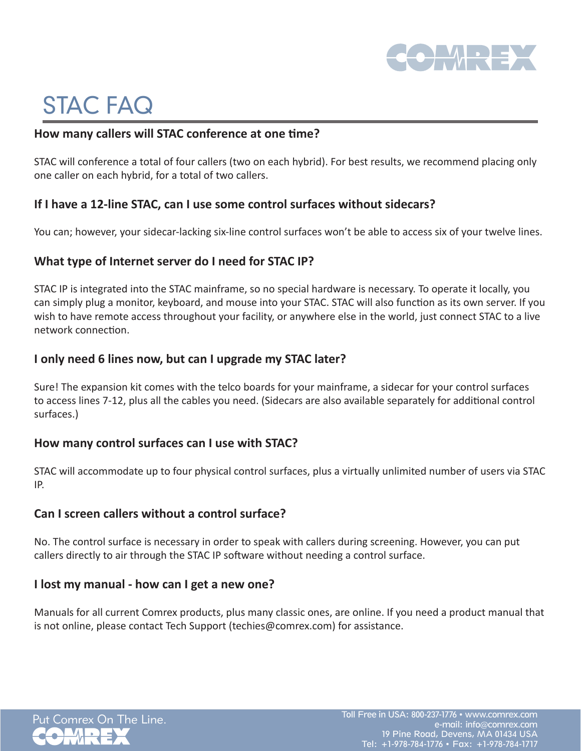

# STAC FAQ

### **How many callers will STAC conference at one time?**

STAC will conference a total of four callers (two on each hybrid). For best results, we recommend placing only one caller on each hybrid, for a total of two callers.

## **If I have a 12-line STAC, can I use some control surfaces without sidecars?**

You can; however, your sidecar-lacking six-line control surfaces won't be able to access six of your twelve lines.

## **What type of Internet server do I need for STAC IP?**

STAC IP is integrated into the STAC mainframe, so no special hardware is necessary. To operate it locally, you can simply plug a monitor, keyboard, and mouse into your STAC. STAC will also function as its own server. If you wish to have remote access throughout your facility, or anywhere else in the world, just connect STAC to a live network connection.

## **I only need 6 lines now, but can I upgrade my STAC later?**

Sure! The expansion kit comes with the telco boards for your mainframe, a sidecar for your control surfaces to access lines 7-12, plus all the cables you need. (Sidecars are also available separately for additional control surfaces.)

#### **How many control surfaces can I use with STAC?**

STAC will accommodate up to four physical control surfaces, plus a virtually unlimited number of users via STAC IP.

### **Can I screen callers without a control surface?**

No. The control surface is necessary in order to speak with callers during screening. However, you can put callers directly to air through the STAC IP software without needing a control surface.

#### **I lost my manual - how can I get a new one?**

Manuals for all current Comrex products, plus many classic ones, are online. If you need a product manual that is not online, please contact Tech Support (techies@comrex.com) for assistance.